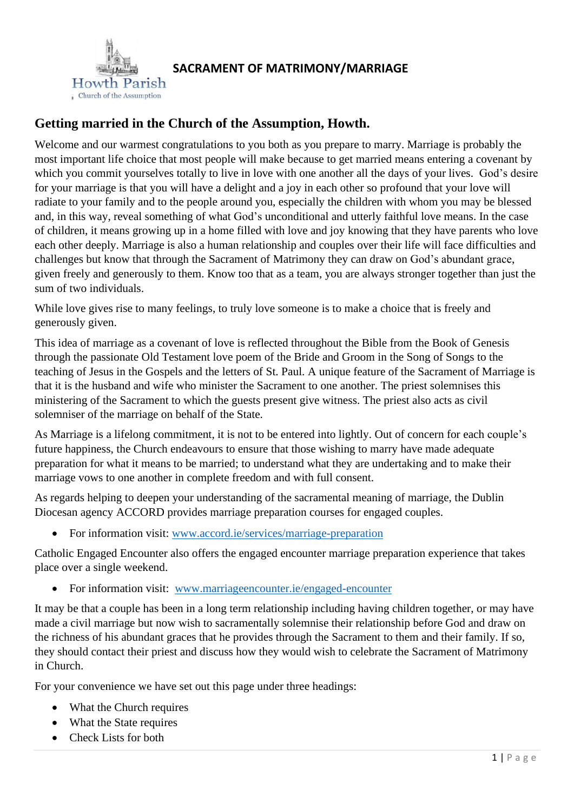

# **Getting married in the Church of the Assumption, Howth.**

Welcome and our warmest congratulations to you both as you prepare to marry. Marriage is probably the most important life choice that most people will make because to get married means entering a covenant by which you commit yourselves totally to live in love with one another all the days of your lives. God's desire for your marriage is that you will have a delight and a joy in each other so profound that your love will radiate to your family and to the people around you, especially the children with whom you may be blessed and, in this way, reveal something of what God's unconditional and utterly faithful love means. In the case of children, it means growing up in a home filled with love and joy knowing that they have parents who love each other deeply. Marriage is also a human relationship and couples over their life will face difficulties and challenges but know that through the Sacrament of Matrimony they can draw on God's abundant grace, given freely and generously to them. Know too that as a team, you are always stronger together than just the sum of two individuals.

While love gives rise to many feelings, to truly love someone is to make a choice that is freely and generously given.

This idea of marriage as a covenant of love is reflected throughout the Bible from the Book of Genesis through the passionate Old Testament love poem of the Bride and Groom in the Song of Songs to the teaching of Jesus in the Gospels and the letters of St. Paul. A unique feature of the Sacrament of Marriage is that it is the husband and wife who minister the Sacrament to one another. The priest solemnises this ministering of the Sacrament to which the guests present give witness. The priest also acts as civil solemniser of the marriage on behalf of the State.

As Marriage is a lifelong commitment, it is not to be entered into lightly. Out of concern for each couple's future happiness, the Church endeavours to ensure that those wishing to marry have made adequate preparation for what it means to be married; to understand what they are undertaking and to make their marriage vows to one another in complete freedom and with full consent.

As regards helping to deepen your understanding of the sacramental meaning of marriage, the Dublin Diocesan agency ACCORD provides marriage preparation courses for engaged couples.

• For information visit: [www.accord.ie/services/marriage-preparation](http://www.accord.ie/services/marriage-preparation)

Catholic Engaged Encounter also offers the engaged encounter marriage preparation experience that takes place over a single weekend.

• For information visit: [www.marriageencounter.ie/engaged-encounter](http://www.marriageencounter.ie/engaged-encounter)

It may be that a couple has been in a long term relationship including having children together, or may have made a civil marriage but now wish to sacramentally solemnise their relationship before God and draw on the richness of his abundant graces that he provides through the Sacrament to them and their family. If so, they should contact their priest and discuss how they would wish to celebrate the Sacrament of Matrimony in Church.

For your convenience we have set out this page under three headings:

- What the Church requires
- What the State requires
- Check Lists for both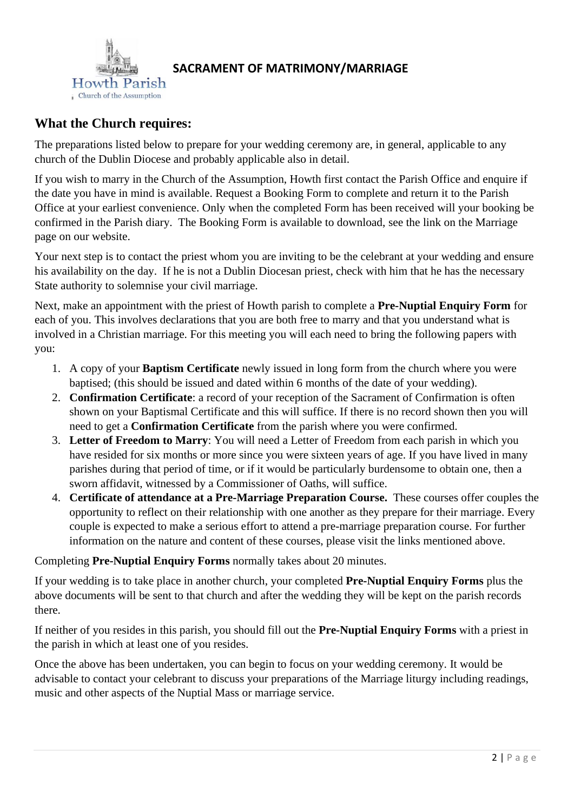

# **What the Church requires:**

The preparations listed below to prepare for your wedding ceremony are, in general, applicable to any church of the Dublin Diocese and probably applicable also in detail.

If you wish to marry in the Church of the Assumption, Howth first contact the Parish Office and enquire if the date you have in mind is available. Request a Booking Form to complete and return it to the Parish Office at your earliest convenience. Only when the completed Form has been received will your booking be confirmed in the Parish diary. The Booking Form is available to download, see the link on the Marriage page on our website.

Your next step is to contact the priest whom you are inviting to be the celebrant at your wedding and ensure his availability on the day. If he is not a Dublin Diocesan priest, check with him that he has the necessary State authority to solemnise your civil marriage.

Next, make an appointment with the priest of Howth parish to complete a **Pre-Nuptial Enquiry Form** for each of you. This involves declarations that you are both free to marry and that you understand what is involved in a Christian marriage. For this meeting you will each need to bring the following papers with you:

- 1. A copy of your **Baptism Certificate** newly issued in long form from the church where you were baptised; (this should be issued and dated within 6 months of the date of your wedding).
- 2. **Confirmation Certificate**: a record of your reception of the Sacrament of Confirmation is often shown on your Baptismal Certificate and this will suffice. If there is no record shown then you will need to get a **Confirmation Certificate** from the parish where you were confirmed.
- 3. **Letter of Freedom to Marry**: You will need a Letter of Freedom from each parish in which you have resided for six months or more since you were sixteen years of age. If you have lived in many parishes during that period of time, or if it would be particularly burdensome to obtain one, then a sworn affidavit, witnessed by a Commissioner of Oaths, will suffice.
- 4. **Certificate of attendance at a Pre-Marriage Preparation Course.** These courses offer couples the opportunity to reflect on their relationship with one another as they prepare for their marriage. Every couple is expected to make a serious effort to attend a pre-marriage preparation course. For further information on the nature and content of these courses, please visit the links mentioned above.

## Completing **Pre-Nuptial Enquiry Forms** normally takes about 20 minutes.

If your wedding is to take place in another church, your completed **Pre-Nuptial Enquiry Forms** plus the above documents will be sent to that church and after the wedding they will be kept on the parish records there.

If neither of you resides in this parish, you should fill out the **Pre-Nuptial Enquiry Forms** with a priest in the parish in which at least one of you resides.

Once the above has been undertaken, you can begin to focus on your wedding ceremony. It would be advisable to contact your celebrant to discuss your preparations of the Marriage liturgy including readings, music and other aspects of the Nuptial Mass or marriage service.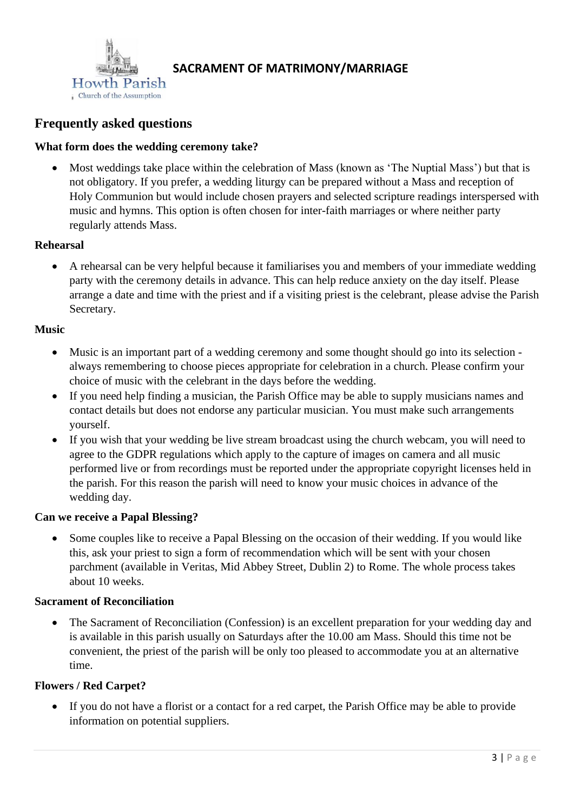

# **Frequently asked questions**

#### **What form does the wedding ceremony take?**

• Most weddings take place within the celebration of Mass (known as 'The Nuptial Mass') but that is not obligatory. If you prefer, a wedding liturgy can be prepared without a Mass and reception of Holy Communion but would include chosen prayers and selected scripture readings interspersed with music and hymns. This option is often chosen for inter-faith marriages or where neither party regularly attends Mass.

#### **Rehearsal**

• A rehearsal can be very helpful because it familiarises you and members of your immediate wedding party with the ceremony details in advance. This can help reduce anxiety on the day itself. Please arrange a date and time with the priest and if a visiting priest is the celebrant, please advise the Parish Secretary.

#### **Music**

- Music is an important part of a wedding ceremony and some thought should go into its selection always remembering to choose pieces appropriate for celebration in a church. Please confirm your choice of music with the celebrant in the days before the wedding.
- If you need help finding a musician, the Parish Office may be able to supply musicians names and contact details but does not endorse any particular musician. You must make such arrangements yourself.
- If you wish that your wedding be live stream broadcast using the church webcam, you will need to agree to the GDPR regulations which apply to the capture of images on camera and all music performed live or from recordings must be reported under the appropriate copyright licenses held in the parish. For this reason the parish will need to know your music choices in advance of the wedding day.

#### **Can we receive a Papal Blessing?**

• Some couples like to receive a Papal Blessing on the occasion of their wedding. If you would like this, ask your priest to sign a form of recommendation which will be sent with your chosen parchment (available in Veritas, Mid Abbey Street, Dublin 2) to Rome. The whole process takes about 10 weeks.

#### **Sacrament of Reconciliation**

• The Sacrament of Reconciliation (Confession) is an excellent preparation for your wedding day and is available in this parish usually on Saturdays after the 10.00 am Mass. Should this time not be convenient, the priest of the parish will be only too pleased to accommodate you at an alternative time.

#### **Flowers / Red Carpet?**

• If you do not have a florist or a contact for a red carpet, the Parish Office may be able to provide information on potential suppliers.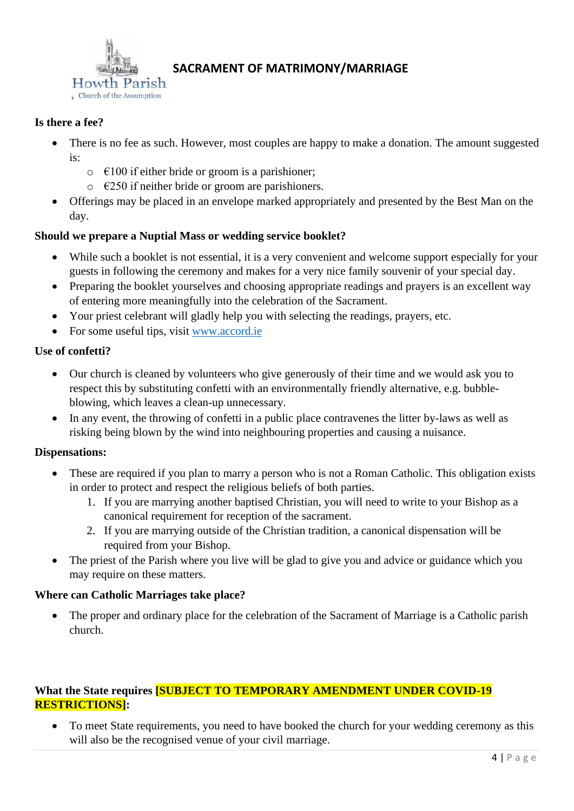

## **Is there a fee?**

- There is no fee as such. However, most couples are happy to make a donation. The amount suggested  $i_{S}$ .
	- $\circ$   $\in$  100 if either bride or groom is a parishioner;
	- $\circ$   $\epsilon$ 250 if neither bride or groom are parishioners.
- Offerings may be placed in an envelope marked appropriately and presented by the Best Man on the day.

## **Should we prepare a Nuptial Mass or wedding service booklet?**

- While such a booklet is not essential, it is a very convenient and welcome support especially for your guests in following the ceremony and makes for a very nice family souvenir of your special day.
- Preparing the booklet yourselves and choosing appropriate readings and prayers is an excellent way of entering more meaningfully into the celebration of the Sacrament.
- Your priest celebrant will gladly help you with selecting the readings, prayers, etc.
- For some useful tips, visit [www.accord.ie](http://www.accord.ie/)

## **Use of confetti?**

- Our church is cleaned by volunteers who give generously of their time and we would ask you to respect this by substituting confetti with an environmentally friendly alternative, e.g. bubbleblowing, which leaves a clean-up unnecessary.
- In any event, the throwing of confetti in a public place contravenes the litter by-laws as well as risking being blown by the wind into neighbouring properties and causing a nuisance.

## **Dispensations:**

- These are required if you plan to marry a person who is not a Roman Catholic. This obligation exists in order to protect and respect the religious beliefs of both parties.
	- 1. If you are marrying another baptised Christian, you will need to write to your Bishop as a canonical requirement for reception of the sacrament.
	- 2. If you are marrying outside of the Christian tradition, a canonical dispensation will be required from your Bishop.
- The priest of the Parish where you live will be glad to give you and advice or guidance which you may require on these matters.

## **Where can Catholic Marriages take place?**

The proper and ordinary place for the celebration of the Sacrament of Marriage is a Catholic parish church.

## **What the State requires [SUBJECT TO TEMPORARY AMENDMENT UNDER COVID-19 RESTRICTIONS]:**

• To meet State requirements, you need to have booked the church for your wedding ceremony as this will also be the recognised venue of your civil marriage.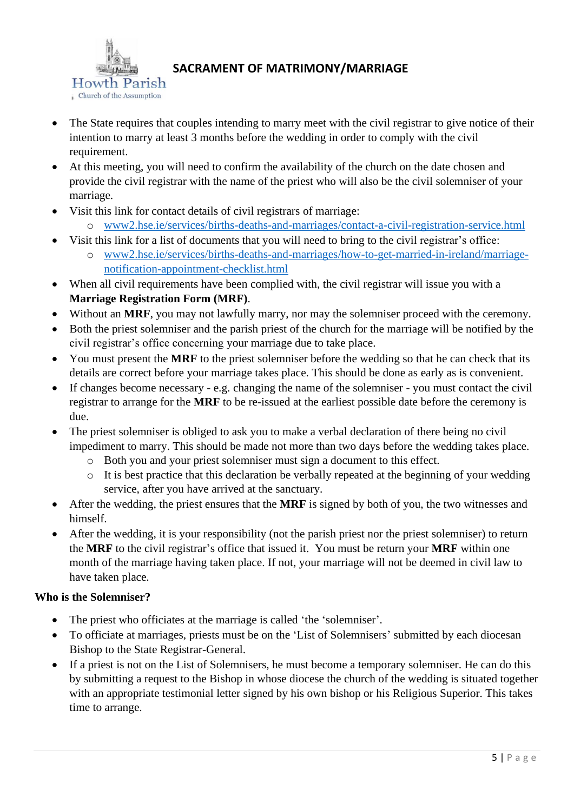

- The State requires that couples intending to marry meet with the civil registrar to give notice of their intention to marry at least 3 months before the wedding in order to comply with the civil requirement.
- At this meeting, you will need to confirm the availability of the church on the date chosen and provide the civil registrar with the name of the priest who will also be the civil solemniser of your marriage.
- Visit this link for contact details of civil registrars of marriage:
	- o [www2.hse.ie/services/births-deaths-and-marriages/contact-a-civil-registration-service.html](https://www2.hse.ie/services/births-deaths-and-marriages/contact-a-civil-registration-service.html)
- Visit this link for a list of documents that you will need to bring to the civil registrar's office:
	- o [www2.hse.ie/services/births-deaths-and-marriages/how-to-get-married-in-ireland/marriage](http://www.hse.ie/services/births-deaths-and-marriages/how-to-get-married-in-ireland/marriage-notification-appointment-checklist.html)[notification-appointment-checklist.html](http://www.hse.ie/services/births-deaths-and-marriages/how-to-get-married-in-ireland/marriage-notification-appointment-checklist.html)
- When all civil requirements have been complied with, the civil registrar will issue you with a **Marriage Registration Form (MRF)**.
- Without an **MRF**, you may not lawfully marry, nor may the solemniser proceed with the ceremony.
- Both the priest solemniser and the parish priest of the church for the marriage will be notified by the civil registrar's office concerning your marriage due to take place.
- You must present the **MRF** to the priest solemniser before the wedding so that he can check that its details are correct before your marriage takes place. This should be done as early as is convenient.
- If changes become necessary e.g. changing the name of the solemniser you must contact the civil registrar to arrange for the **MRF** to be re-issued at the earliest possible date before the ceremony is due.
- The priest solemniser is obliged to ask you to make a verbal declaration of there being no civil impediment to marry. This should be made not more than two days before the wedding takes place.
	- o Both you and your priest solemniser must sign a document to this effect.
	- o It is best practice that this declaration be verbally repeated at the beginning of your wedding service, after you have arrived at the sanctuary.
- After the wedding, the priest ensures that the **MRF** is signed by both of you, the two witnesses and himself.
- After the wedding, it is your responsibility (not the parish priest nor the priest solemniser) to return the **MRF** to the civil registrar's office that issued it. You must be return your **MRF** within one month of the marriage having taken place. If not, your marriage will not be deemed in civil law to have taken place.

## **Who is the Solemniser?**

- The priest who officiates at the marriage is called 'the 'solemniser'.
- To officiate at marriages, priests must be on the 'List of Solemnisers' submitted by each diocesan Bishop to the State Registrar-General.
- If a priest is not on the List of Solemnisers, he must become a temporary solemniser. He can do this by submitting a request to the Bishop in whose diocese the church of the wedding is situated together with an appropriate testimonial letter signed by his own bishop or his Religious Superior. This takes time to arrange.